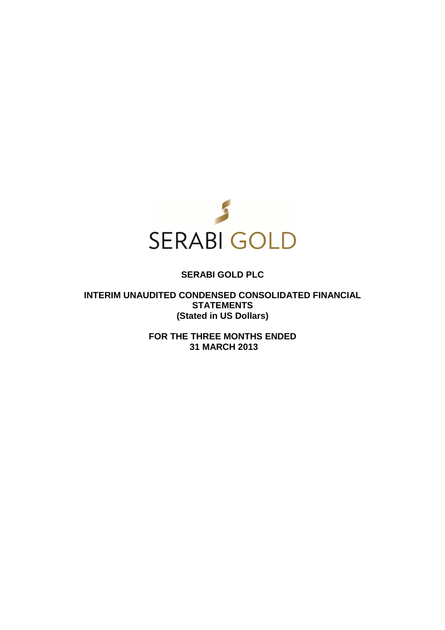

# **SERABI GOLD PLC**

**INTERIM UNAUDITED CONDENSED CONSOLIDATED FINANCIAL STATEMENTS (Stated in US Dollars)** 

> **FOR THE THREE MONTHS ENDED 31 MARCH 2013**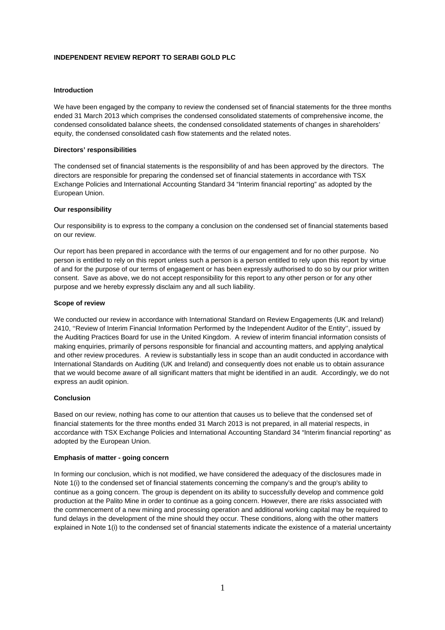# **INDEPENDENT REVIEW REPORT TO SERABI GOLD PLC**

### **Introduction**

We have been engaged by the company to review the condensed set of financial statements for the three months ended 31 March 2013 which comprises the condensed consolidated statements of comprehensive income, the condensed consolidated balance sheets, the condensed consolidated statements of changes in shareholders' equity, the condensed consolidated cash flow statements and the related notes.

#### **Directors' responsibilities**

The condensed set of financial statements is the responsibility of and has been approved by the directors. The directors are responsible for preparing the condensed set of financial statements in accordance with TSX Exchange Policies and International Accounting Standard 34 "Interim financial reporting" as adopted by the European Union.

#### **Our responsibility**

Our responsibility is to express to the company a conclusion on the condensed set of financial statements based on our review.

Our report has been prepared in accordance with the terms of our engagement and for no other purpose. No person is entitled to rely on this report unless such a person is a person entitled to rely upon this report by virtue of and for the purpose of our terms of engagement or has been expressly authorised to do so by our prior written consent. Save as above, we do not accept responsibility for this report to any other person or for any other purpose and we hereby expressly disclaim any and all such liability.

#### **Scope of review**

We conducted our review in accordance with International Standard on Review Engagements (UK and Ireland) 2410, ''Review of Interim Financial Information Performed by the Independent Auditor of the Entity'', issued by the Auditing Practices Board for use in the United Kingdom. A review of interim financial information consists of making enquiries, primarily of persons responsible for financial and accounting matters, and applying analytical and other review procedures. A review is substantially less in scope than an audit conducted in accordance with International Standards on Auditing (UK and Ireland) and consequently does not enable us to obtain assurance that we would become aware of all significant matters that might be identified in an audit. Accordingly, we do not express an audit opinion.

### **Conclusion**

Based on our review, nothing has come to our attention that causes us to believe that the condensed set of financial statements for the three months ended 31 March 2013 is not prepared, in all material respects, in accordance with TSX Exchange Policies and International Accounting Standard 34 "Interim financial reporting" as adopted by the European Union.

#### **Emphasis of matter - going concern**

In forming our conclusion, which is not modified, we have considered the adequacy of the disclosures made in Note 1(i) to the condensed set of financial statements concerning the company's and the group's ability to continue as a going concern. The group is dependent on its ability to successfully develop and commence gold production at the Palito Mine in order to continue as a going concern. However, there are risks associated with the commencement of a new mining and processing operation and additional working capital may be required to fund delays in the development of the mine should they occur. These conditions, along with the other matters explained in Note 1(i) to the condensed set of financial statements indicate the existence of a material uncertainty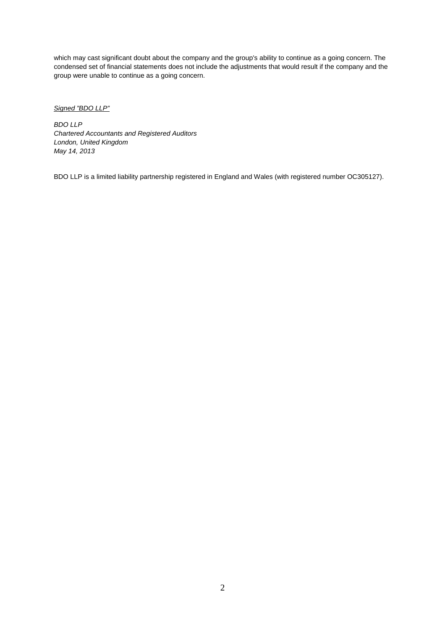which may cast significant doubt about the company and the group's ability to continue as a going concern. The condensed set of financial statements does not include the adjustments that would result if the company and the group were unable to continue as a going concern.

Signed "BDO LLP"

BDO LLP Chartered Accountants and Registered Auditors London, United Kingdom May 14, 2013

BDO LLP is a limited liability partnership registered in England and Wales (with registered number OC305127).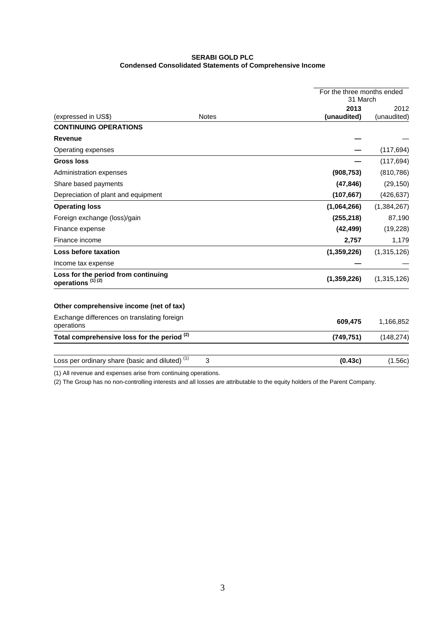# **SERABI GOLD PLC Condensed Consolidated Statements of Comprehensive Income**

|                                                                     |              |             | For the three months ended<br>31 March |  |
|---------------------------------------------------------------------|--------------|-------------|----------------------------------------|--|
|                                                                     |              | 2013        | 2012                                   |  |
| (expressed in US\$)                                                 | <b>Notes</b> | (unaudited) | (unaudited)                            |  |
| <b>CONTINUING OPERATIONS</b>                                        |              |             |                                        |  |
| <b>Revenue</b>                                                      |              |             |                                        |  |
| Operating expenses                                                  |              |             | (117, 694)                             |  |
| <b>Gross loss</b>                                                   |              |             | (117, 694)                             |  |
| Administration expenses                                             |              | (908, 753)  | (810, 786)                             |  |
| Share based payments                                                |              | (47, 846)   | (29, 150)                              |  |
| Depreciation of plant and equipment                                 |              | (107, 667)  | (426, 637)                             |  |
| <b>Operating loss</b>                                               |              | (1,064,266) | (1,384,267)                            |  |
| Foreign exchange (loss)/gain                                        |              | (255, 218)  | 87,190                                 |  |
| Finance expense                                                     |              | (42, 499)   | (19,228)                               |  |
| Finance income                                                      |              | 2,757       | 1,179                                  |  |
| Loss before taxation                                                |              | (1,359,226) | (1,315,126)                            |  |
| Income tax expense                                                  |              |             |                                        |  |
| Loss for the period from continuing<br>operations <sup>(1)(2)</sup> |              | (1,359,226) | (1,315,126)                            |  |
| Other comprehensive income (net of tax)                             |              |             |                                        |  |
| Exchange differences on translating foreign<br>operations           |              | 609,475     | 1,166,852                              |  |
| Total comprehensive loss for the period <sup>(2)</sup>              |              | (749, 751)  | (148, 274)                             |  |
| Loss per ordinary share (basic and diluted) <sup>(1)</sup>          | 3            | (0.43c)     | (1.56c)                                |  |

(1) All revenue and expenses arise from continuing operations.

(2) The Group has no non-controlling interests and all losses are attributable to the equity holders of the Parent Company.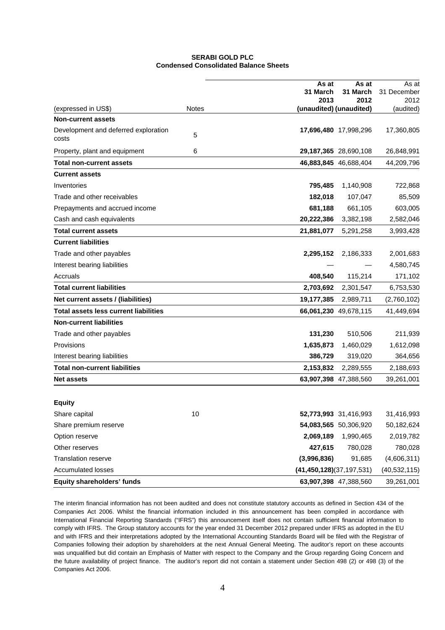# **SERABI GOLD PLC Condensed Consolidated Balance Sheets**

|                                                  |              | As at                        | As at                 | As at          |
|--------------------------------------------------|--------------|------------------------------|-----------------------|----------------|
|                                                  |              | 31 March                     | 31 March              | 31 December    |
|                                                  | <b>Notes</b> | 2013                         | 2012                  | 2012           |
| (expressed in US\$)<br><b>Non-current assets</b> |              | (unaudited) (unaudited)      |                       | (audited)      |
|                                                  |              |                              |                       |                |
| Development and deferred exploration<br>costs    | 5            |                              | 17,696,480 17,998,296 | 17,360,805     |
| Property, plant and equipment                    | 6            |                              | 29,187,365 28,690,108 | 26,848,991     |
| <b>Total non-current assets</b>                  |              |                              | 46,883,845 46,688,404 | 44,209,796     |
| <b>Current assets</b>                            |              |                              |                       |                |
| Inventories                                      |              | 795,485                      | 1,140,908             | 722,868        |
| Trade and other receivables                      |              | 182,018                      | 107,047               | 85,509         |
| Prepayments and accrued income                   |              | 681,188                      | 661,105               | 603,005        |
| Cash and cash equivalents                        |              | 20,222,386                   | 3,382,198             | 2,582,046      |
| <b>Total current assets</b>                      |              | 21,881,077                   | 5,291,258             | 3,993,428      |
| <b>Current liabilities</b>                       |              |                              |                       |                |
| Trade and other payables                         |              | 2,295,152                    | 2,186,333             | 2,001,683      |
| Interest bearing liabilities                     |              |                              |                       | 4,580,745      |
| Accruals                                         |              | 408,540                      | 115,214               | 171,102        |
| <b>Total current liabilities</b>                 |              | 2,703,692                    | 2,301,547             | 6,753,530      |
| Net current assets / (liabilities)               |              | 19,177,385                   | 2,989,711             | (2,760,102)    |
| <b>Total assets less current liabilities</b>     |              |                              | 66,061,230 49,678,115 | 41,449,694     |
| <b>Non-current liabilities</b>                   |              |                              |                       |                |
| Trade and other payables                         |              | 131,230                      | 510,506               | 211,939        |
| Provisions                                       |              | 1,635,873                    | 1,460,029             | 1,612,098      |
| Interest bearing liabilities                     |              | 386,729                      | 319,020               | 364,656        |
| <b>Total non-current liabilities</b>             |              | 2,153,832                    | 2,289,555             | 2,188,693      |
| <b>Net assets</b>                                |              |                              | 63,907,398 47,388,560 | 39,261,001     |
|                                                  |              |                              |                       |                |
| <b>Equity</b>                                    |              |                              |                       |                |
| Share capital                                    | 10           |                              | 52,773,993 31,416,993 | 31,416,993     |
| Share premium reserve                            |              |                              | 54,083,565 50,306,920 | 50,182,624     |
| Option reserve                                   |              | 2,069,189                    | 1,990,465             | 2,019,782      |
| Other reserves                                   |              | 427,615                      | 780,028               | 780,028        |
| <b>Translation reserve</b>                       |              | (3,996,836)                  | 91,685                | (4,606,311)    |
| <b>Accumulated losses</b>                        |              | (41, 450, 128)(37, 197, 531) |                       | (40, 532, 115) |
| Equity shareholders' funds                       |              |                              | 63,907,398 47,388,560 | 39,261,001     |

The interim financial information has not been audited and does not constitute statutory accounts as defined in Section 434 of the Companies Act 2006. Whilst the financial information included in this announcement has been compiled in accordance with International Financial Reporting Standards ("IFRS") this announcement itself does not contain sufficient financial information to comply with IFRS. The Group statutory accounts for the year ended 31 December 2012 prepared under IFRS as adopted in the EU and with IFRS and their interpretations adopted by the International Accounting Standards Board will be filed with the Registrar of Companies following their adoption by shareholders at the next Annual General Meeting. The auditor's report on these accounts was unqualified but did contain an Emphasis of Matter with respect to the Company and the Group regarding Going Concern and the future availability of project finance. The auditor's report did not contain a statement under Section 498 (2) or 498 (3) of the Companies Act 2006.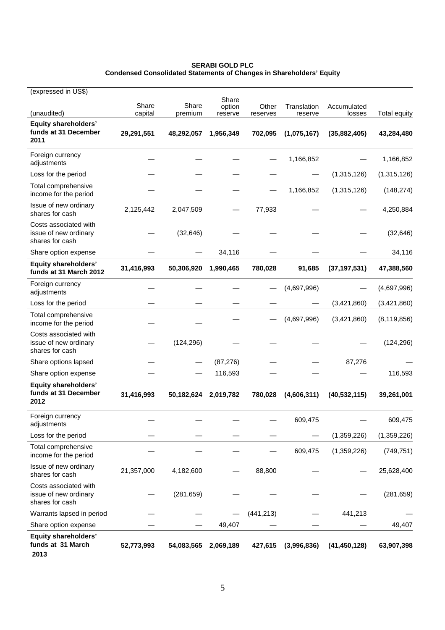| <b>SERABI GOLD PLC</b>                                                      |  |
|-----------------------------------------------------------------------------|--|
| <b>Condensed Consolidated Statements of Changes in Shareholders' Equity</b> |  |

| (expressed in US\$)                                               |                  |                  |                            |                   |                        |                       |                     |
|-------------------------------------------------------------------|------------------|------------------|----------------------------|-------------------|------------------------|-----------------------|---------------------|
| (unaudited)                                                       | Share<br>capital | Share<br>premium | Share<br>option<br>reserve | Other<br>reserves | Translation<br>reserve | Accumulated<br>losses | <b>Total equity</b> |
| <b>Equity shareholders'</b><br>funds at 31 December<br>2011       | 29,291,551       | 48,292,057       | 1,956,349                  | 702,095           | (1,075,167)            | (35,882,405)          | 43,284,480          |
| Foreign currency<br>adjustments                                   |                  |                  |                            |                   | 1,166,852              |                       | 1,166,852           |
| Loss for the period                                               |                  |                  |                            |                   |                        | (1,315,126)           | (1,315,126)         |
| Total comprehensive<br>income for the period                      |                  |                  |                            |                   | 1,166,852              | (1,315,126)           | (148, 274)          |
| Issue of new ordinary<br>shares for cash                          | 2,125,442        | 2,047,509        |                            | 77,933            |                        |                       | 4,250,884           |
| Costs associated with<br>issue of new ordinary<br>shares for cash |                  | (32, 646)        |                            |                   |                        |                       | (32, 646)           |
| Share option expense                                              |                  |                  | 34,116                     |                   |                        |                       | 34,116              |
| <b>Equity shareholders'</b><br>funds at 31 March 2012             | 31,416,993       | 50,306,920       | 1,990,465                  | 780,028           | 91,685                 | (37, 197, 531)        | 47,388,560          |
| Foreign currency<br>adjustments                                   |                  |                  |                            |                   | (4,697,996)            |                       | (4,697,996)         |
| Loss for the period                                               |                  |                  |                            |                   |                        | (3,421,860)           | (3,421,860)         |
| Total comprehensive<br>income for the period                      |                  |                  |                            |                   | (4,697,996)            | (3,421,860)           | (8, 119, 856)       |
| Costs associated with<br>issue of new ordinary<br>shares for cash |                  | (124, 296)       |                            |                   |                        |                       | (124, 296)          |
| Share options lapsed                                              |                  |                  | (87, 276)                  |                   |                        | 87,276                |                     |
| Share option expense                                              |                  |                  | 116,593                    |                   |                        |                       | 116,593             |
| <b>Equity shareholders'</b><br>funds at 31 December<br>2012       | 31,416,993       | 50,182,624       | 2,019,782                  | 780,028           | (4,606,311)            | (40, 532, 115)        | 39,261,001          |
| Foreign currency<br>adjustments                                   |                  |                  |                            |                   | 609,475                |                       | 609,475             |
| Loss for the period                                               |                  |                  |                            |                   |                        | (1,359,226)           | (1,359,226)         |
| Total comprehensive<br>income for the period                      |                  |                  |                            |                   | 609,475                | (1,359,226)           | (749, 751)          |
| Issue of new ordinary<br>shares for cash                          | 21,357,000       | 4,182,600        |                            | 88,800            |                        |                       | 25,628,400          |
| Costs associated with<br>issue of new ordinary<br>shares for cash |                  | (281, 659)       |                            |                   |                        |                       | (281, 659)          |
| Warrants lapsed in period                                         |                  |                  |                            | (441, 213)        |                        | 441,213               |                     |
| Share option expense                                              |                  |                  | 49,407                     |                   |                        |                       | 49,407              |
| <b>Equity shareholders'</b><br>funds at 31 March<br>2013          | 52,773,993       | 54,083,565       | 2,069,189                  | 427,615           | (3,996,836)            | (41, 450, 128)        | 63,907,398          |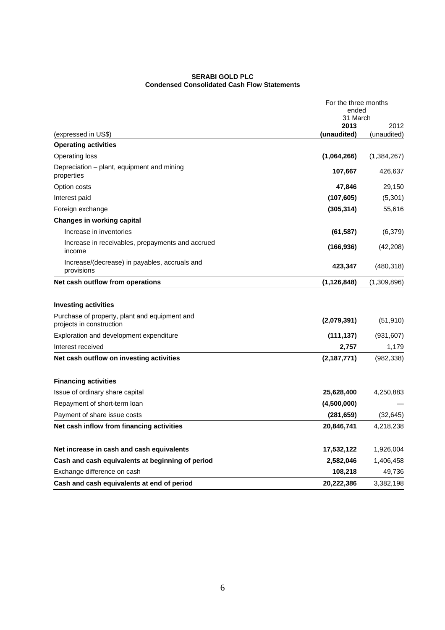#### **SERABI GOLD PLC Condensed Consolidated Cash Flow Statements**

|                                                                                                          | For the three months<br>ended |             |
|----------------------------------------------------------------------------------------------------------|-------------------------------|-------------|
|                                                                                                          | 31 March<br>2013              | 2012        |
| (expressed in US\$)                                                                                      | (unaudited)                   | (unaudited) |
| <b>Operating activities</b>                                                                              |                               |             |
| Operating loss                                                                                           | (1,064,266)                   | (1,384,267) |
| Depreciation – plant, equipment and mining<br>properties                                                 | 107,667                       | 426,637     |
| Option costs                                                                                             | 47,846                        | 29,150      |
| Interest paid                                                                                            | (107, 605)                    | (5,301)     |
| Foreign exchange                                                                                         | (305, 314)                    | 55,616      |
| <b>Changes in working capital</b>                                                                        |                               |             |
| Increase in inventories                                                                                  | (61, 587)                     | (6,379)     |
| Increase in receivables, prepayments and accrued<br>income                                               | (166, 936)                    | (42, 208)   |
| Increase/(decrease) in payables, accruals and<br>provisions                                              | 423,347                       | (480, 318)  |
| Net cash outflow from operations                                                                         | (1, 126, 848)                 | (1,309,896) |
| <b>Investing activities</b><br>Purchase of property, plant and equipment and<br>projects in construction | (2,079,391)                   | (51, 910)   |
| Exploration and development expenditure                                                                  | (111, 137)                    | (931, 607)  |
| Interest received                                                                                        | 2,757                         | 1,179       |
| Net cash outflow on investing activities                                                                 | (2,187,771)                   | (982,338)   |
| <b>Financing activities</b>                                                                              |                               |             |
| Issue of ordinary share capital                                                                          | 25,628,400                    | 4,250,883   |
| Repayment of short-term loan                                                                             | (4,500,000)                   |             |
| Payment of share issue costs                                                                             | (281, 659)                    | (32, 645)   |
| Net cash inflow from financing activities                                                                | 20,846,741                    | 4,218,238   |
| Net increase in cash and cash equivalents                                                                | 17,532,122                    | 1,926,004   |
| Cash and cash equivalents at beginning of period                                                         | 2,582,046                     | 1,406,458   |
| Exchange difference on cash                                                                              | 108,218                       | 49,736      |
| Cash and cash equivalents at end of period                                                               | 20,222,386                    | 3,382,198   |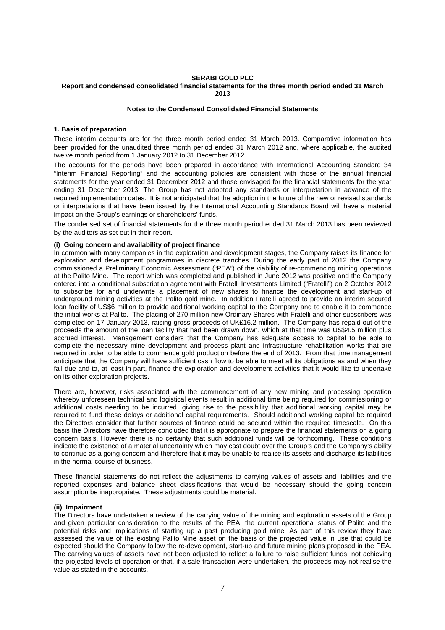# **SERABI GOLD PLC**

#### **Report and condensed consolidated financial statements for the three month period ended 31 March 2013**

#### **Notes to the Condensed Consolidated Financial Statements**

#### **1. Basis of preparation**

These interim accounts are for the three month period ended 31 March 2013. Comparative information has been provided for the unaudited three month period ended 31 March 2012 and, where applicable, the audited twelve month period from 1 January 2012 to 31 December 2012.

The accounts for the periods have been prepared in accordance with International Accounting Standard 34 "Interim Financial Reporting" and the accounting policies are consistent with those of the annual financial statements for the year ended 31 December 2012 and those envisaged for the financial statements for the year ending 31 December 2013. The Group has not adopted any standards or interpretation in advance of the required implementation dates. It is not anticipated that the adoption in the future of the new or revised standards or interpretations that have been issued by the International Accounting Standards Board will have a material impact on the Group's earnings or shareholders' funds.

The condensed set of financial statements for the three month period ended 31 March 2013 has been reviewed by the auditors as set out in their report.

#### **(i) Going concern and availability of project finance**

In common with many companies in the exploration and development stages, the Company raises its finance for exploration and development programmes in discrete tranches. During the early part of 2012 the Company commissioned a Preliminary Economic Assessment ("PEA") of the viability of re-commencing mining operations at the Palito Mine. The report which was completed and published in June 2012 was positive and the Company entered into a conditional subscription agreement with Fratelli Investments Limited ("Fratelli") on 2 October 2012 to subscribe for and underwrite a placement of new shares to finance the development and start-up of underground mining activities at the Palito gold mine. In addition Fratelli agreed to provide an interim secured loan facility of US\$6 million to provide additional working capital to the Company and to enable it to commence the initial works at Palito. The placing of 270 million new Ordinary Shares with Fratelli and other subscribers was completed on 17 January 2013, raising gross proceeds of UK£16.2 million. The Company has repaid out of the proceeds the amount of the loan facility that had been drawn down, which at that time was US\$4.5 million plus accrued interest. Management considers that the Company has adequate access to capital to be able to complete the necessary mine development and process plant and infrastructure rehabilitation works that are required in order to be able to commence gold production before the end of 2013. From that time management anticipate that the Company will have sufficient cash flow to be able to meet all its obligations as and when they fall due and to, at least in part, finance the exploration and development activities that it would like to undertake on its other exploration projects.

There are, however, risks associated with the commencement of any new mining and processing operation whereby unforeseen technical and logistical events result in additional time being required for commissioning or additional costs needing to be incurred, giving rise to the possibility that additional working capital may be required to fund these delays or additional capital requirements. Should additional working capital be required the Directors consider that further sources of finance could be secured within the required timescale. On this basis the Directors have therefore concluded that it is appropriate to prepare the financial statements on a going concern basis. However there is no certainty that such additional funds will be forthcoming. These conditions indicate the existence of a material uncertainty which may cast doubt over the Group's and the Company's ability to continue as a going concern and therefore that it may be unable to realise its assets and discharge its liabilities in the normal course of business.

These financial statements do not reflect the adjustments to carrying values of assets and liabilities and the reported expenses and balance sheet classifications that would be necessary should the going concern assumption be inappropriate. These adjustments could be material.

#### **(ii) Impairment**

The Directors have undertaken a review of the carrying value of the mining and exploration assets of the Group and given particular consideration to the results of the PEA, the current operational status of Palito and the potential risks and implications of starting up a past producing gold mine. As part of this review they have assessed the value of the existing Palito Mine asset on the basis of the projected value in use that could be expected should the Company follow the re-development, start-up and future mining plans proposed in the PEA. The carrying values of assets have not been adjusted to reflect a failure to raise sufficient funds, not achieving the projected levels of operation or that, if a sale transaction were undertaken, the proceeds may not realise the value as stated in the accounts.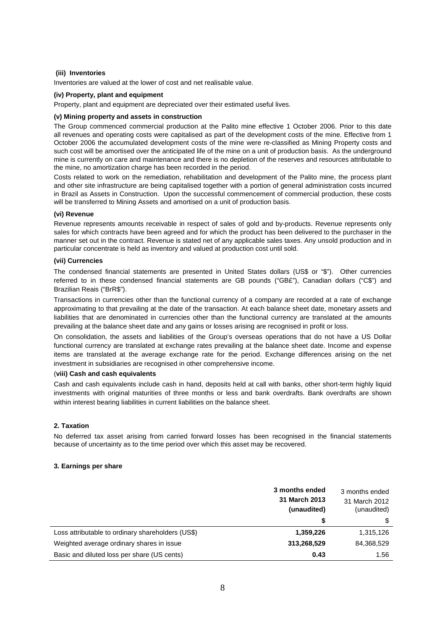## **(iii) Inventories**

Inventories are valued at the lower of cost and net realisable value.

# **(iv) Property, plant and equipment**

Property, plant and equipment are depreciated over their estimated useful lives.

#### **(v) Mining property and assets in construction**

The Group commenced commercial production at the Palito mine effective 1 October 2006. Prior to this date all revenues and operating costs were capitalised as part of the development costs of the mine. Effective from 1 October 2006 the accumulated development costs of the mine were re-classified as Mining Property costs and such cost will be amortised over the anticipated life of the mine on a unit of production basis. As the underground mine is currently on care and maintenance and there is no depletion of the reserves and resources attributable to the mine, no amortization charge has been recorded in the period.

Costs related to work on the remediation, rehabilitation and development of the Palito mine, the process plant and other site infrastructure are being capitalised together with a portion of general administration costs incurred in Brazil as Assets in Construction. Upon the successful commencement of commercial production, these costs will be transferred to Mining Assets and amortised on a unit of production basis.

### **(vi) Revenue**

Revenue represents amounts receivable in respect of sales of gold and by-products. Revenue represents only sales for which contracts have been agreed and for which the product has been delivered to the purchaser in the manner set out in the contract. Revenue is stated net of any applicable sales taxes. Any unsold production and in particular concentrate is held as inventory and valued at production cost until sold.

### **(vii) Currencies**

The condensed financial statements are presented in United States dollars (US\$ or "\$"). Other currencies referred to in these condensed financial statements are GB pounds ("GB£"), Canadian dollars ("C\$") and Brazilian Reais ("BrR\$").

Transactions in currencies other than the functional currency of a company are recorded at a rate of exchange approximating to that prevailing at the date of the transaction. At each balance sheet date, monetary assets and liabilities that are denominated in currencies other than the functional currency are translated at the amounts prevailing at the balance sheet date and any gains or losses arising are recognised in profit or loss.

On consolidation, the assets and liabilities of the Group's overseas operations that do not have a US Dollar functional currency are translated at exchange rates prevailing at the balance sheet date. Income and expense items are translated at the average exchange rate for the period. Exchange differences arising on the net investment in subsidiaries are recognised in other comprehensive income.

#### (**viii) Cash and cash equivalents**

Cash and cash equivalents include cash in hand, deposits held at call with banks, other short-term highly liquid investments with original maturities of three months or less and bank overdrafts. Bank overdrafts are shown within interest bearing liabilities in current liabilities on the balance sheet.

# **2. Taxation**

No deferred tax asset arising from carried forward losses has been recognised in the financial statements because of uncertainty as to the time period over which this asset may be recovered.

### **3. Earnings per share**

|                                                   | 3 months ended<br>31 March 2013<br>(unaudited) | 3 months ended<br>31 March 2012<br>(unaudited) |  |
|---------------------------------------------------|------------------------------------------------|------------------------------------------------|--|
|                                                   | \$                                             | \$                                             |  |
| Loss attributable to ordinary shareholders (US\$) | 1,359,226                                      | 1,315,126                                      |  |
| Weighted average ordinary shares in issue         | 313,268,529                                    | 84,368,529                                     |  |
| Basic and diluted loss per share (US cents)       | 0.43                                           | 1.56                                           |  |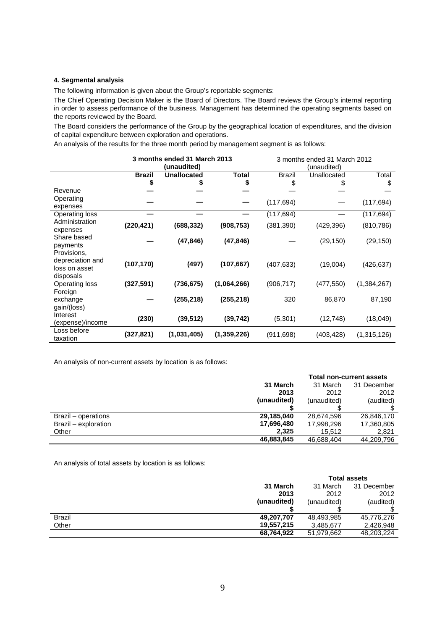# **4. Segmental analysis**

The following information is given about the Group's reportable segments:

The Chief Operating Decision Maker is the Board of Directors. The Board reviews the Group's internal reporting in order to assess performance of the business. Management has determined the operating segments based on the reports reviewed by the Board.

The Board considers the performance of the Group by the geographical location of expenditures, and the division of capital expenditure between exploration and operations.

An analysis of the results for the three month period by management segment is as follows:

|                       | 3 months ended 31 March 2013 |                    |              | 3 months ended 31 March 2012 |             |               |
|-----------------------|------------------------------|--------------------|--------------|------------------------------|-------------|---------------|
|                       |                              | (unaudited)        |              | (unaudited)                  |             |               |
|                       | <b>Brazil</b>                | <b>Unallocated</b> | <b>Total</b> | <b>Brazil</b>                | Unallocated | Total         |
|                       | \$                           | 5                  | \$           | \$                           |             | \$            |
| Revenue               |                              |                    |              |                              |             |               |
| Operating             |                              |                    |              |                              |             | (117, 694)    |
| expenses              |                              |                    |              | (117, 694)                   |             |               |
| <b>Operating loss</b> |                              |                    |              | (117, 694)                   |             | (117, 694)    |
| Administration        | (220, 421)                   | (688, 332)         | (908, 753)   | (381, 390)                   | (429, 396)  | (810, 786)    |
| expenses              |                              |                    |              |                              |             |               |
| Share based           |                              | (47, 846)          | (47, 846)    |                              | (29,150)    | (29,150)      |
| payments              |                              |                    |              |                              |             |               |
| Provisions,           |                              |                    |              |                              |             |               |
| depreciation and      | (107, 170)                   | (497)              | (107, 667)   | (407, 633)                   | (19,004)    | (426, 637)    |
| loss on asset         |                              |                    |              |                              |             |               |
| disposals             |                              |                    |              |                              |             |               |
| Operating loss        | (327, 591)                   | (736, 675)         | (1,064,266)  | (906, 717)                   | (477, 550)  | (1, 384, 267) |
| Foreign               |                              |                    |              |                              |             |               |
| exchange              |                              | (255, 218)         | (255, 218)   | 320                          | 86,870      | 87,190        |
| gain/(loss)           |                              |                    |              |                              |             |               |
| Interest              | (230)                        | (39, 512)          | (39, 742)    | (5,301)                      | (12, 748)   | (18,049)      |
| (expense)/income      |                              |                    |              |                              |             |               |
| Loss before           | (327, 821)                   | (1,031,405)        | (1,359,226)  | (911, 698)                   | (403, 428)  | (1,315,126)   |
| taxation              |                              |                    |              |                              |             |               |

An analysis of non-current assets by location is as follows:

|                      | <b>Total non-current assets</b> |             |             |
|----------------------|---------------------------------|-------------|-------------|
|                      | 31 March                        | 31 March    | 31 December |
|                      | 2013                            | 2012        | 2012        |
|                      | (unaudited)                     | (unaudited) | (audited)   |
|                      |                                 |             |             |
| Brazil – operations  | 29.185.040                      | 28,674,596  | 26,846,170  |
| Brazil - exploration | 17,696,480                      | 17,998,296  | 17,360,805  |
| Other                | 2.325                           | 15.512      | 2.821       |
|                      | 46,883,845                      | 46.688.404  | 44,209,796  |

An analysis of total assets by location is as follows:

|               |             |             | <b>Total assets</b> |
|---------------|-------------|-------------|---------------------|
|               | 31 March    | 31 March    | 31 December         |
|               | 2013        | 2012        | 2012                |
|               | (unaudited) | (unaudited) | (audited)           |
|               |             |             |                     |
| <b>Brazil</b> | 49,207,707  | 48,493,985  | 45,776,276          |
| Other         | 19,557,215  | 3,485,677   | 2.426.948           |
|               | 68,764,922  | 51,979,662  | 48,203,224          |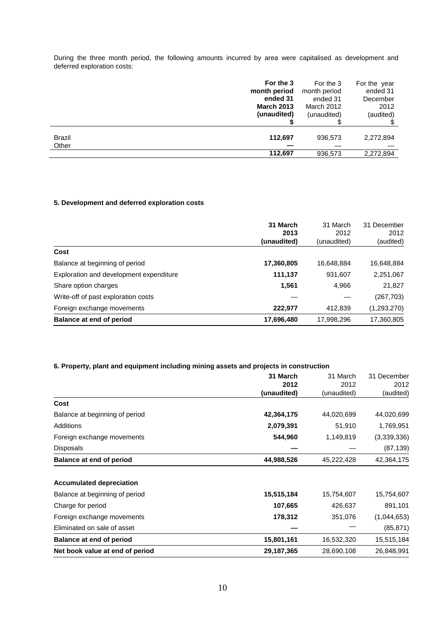During the three month period, the following amounts incurred by area were capitalised as development and deferred exploration costs:

|        | For the 3         | For the 3    | For the year |
|--------|-------------------|--------------|--------------|
|        | month period      | month period | ended 31     |
|        | ended 31          | ended 31     | December     |
|        | <b>March 2013</b> | March 2012   | 2012         |
|        | (unaudited)       | (unaudited)  | (audited)    |
|        |                   |              |              |
|        |                   |              |              |
| Brazil | 112,697           | 936,573      | 2,272,894    |
| Other  |                   |              |              |
|        | 112,697           | 936,573      | 2,272,894    |

# **5. Development and deferred exploration costs**

|                                         | 31 March    | 31 March    | 31 December<br>2012 |
|-----------------------------------------|-------------|-------------|---------------------|
|                                         | 2013        | 2012        |                     |
|                                         | (unaudited) | (unaudited) | (audited)           |
| Cost                                    |             |             |                     |
| Balance at beginning of period          | 17,360,805  | 16,648,884  | 16,648,884          |
| Exploration and development expenditure | 111,137     | 931,607     | 2,251,067           |
| Share option charges                    | 1,561       | 4,966       | 21,827              |
| Write-off of past exploration costs     |             |             | (267, 703)          |
| Foreign exchange movements              | 222,977     | 412,839     | (1,293,270)         |
| Balance at end of period                | 17,696,480  | 17,998,296  | 17,360,805          |

# **6. Property, plant and equipment including mining assets and projects in construction**

|                                 | 31 March    | 31 March    | 31 December |
|---------------------------------|-------------|-------------|-------------|
|                                 | 2012        | 2012        | 2012        |
|                                 | (unaudited) | (unaudited) | (audited)   |
| Cost                            |             |             |             |
| Balance at beginning of period  | 42,364,175  | 44,020,699  | 44,020,699  |
| <b>Additions</b>                | 2,079,391   | 51,910      | 1,769,951   |
| Foreign exchange movements      | 544,960     | 1,149,819   | (3,339,336) |
| <b>Disposals</b>                |             |             | (87, 139)   |
| Balance at end of period        | 44,988,526  | 45,222,428  | 42,364,175  |
| <b>Accumulated depreciation</b> |             |             |             |
| Balance at beginning of period  | 15,515,184  | 15,754,607  | 15,754,607  |
| Charge for period               | 107,665     | 426,637     | 891,101     |
| Foreign exchange movements      | 178,312     | 351,076     | (1,044,653) |
| Eliminated on sale of asset     |             |             | (85, 871)   |
| <b>Balance at end of period</b> | 15,801,161  | 16,532,320  | 15,515,184  |
| Net book value at end of period | 29,187,365  | 28,690,108  | 26,848,991  |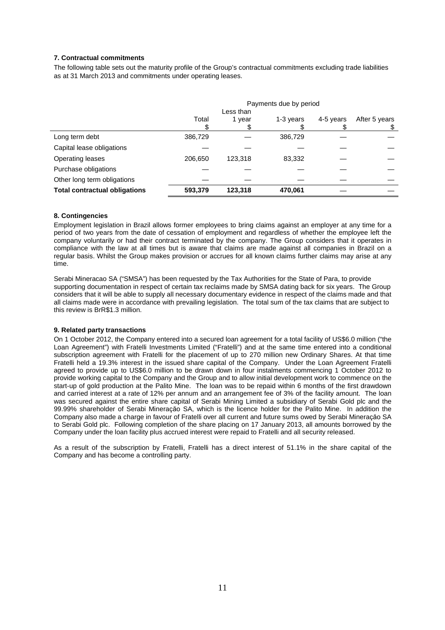# **7. Contractual commitments**

The following table sets out the maturity profile of the Group's contractual commitments excluding trade liabilities as at 31 March 2013 and commitments under operating leases.

|                                      | Payments due by period |         |           |           |               |
|--------------------------------------|------------------------|---------|-----------|-----------|---------------|
|                                      | Less than              |         |           |           |               |
|                                      | Total                  | 1 year  | 1-3 years | 4-5 years | After 5 years |
|                                      |                        |         |           |           |               |
| Long term debt                       | 386,729                |         | 386,729   |           |               |
| Capital lease obligations            |                        |         |           |           |               |
| Operating leases                     | 206,650                | 123,318 | 83,332    |           |               |
| Purchase obligations                 |                        |         |           |           |               |
| Other long term obligations          |                        |         |           |           |               |
| <b>Total contractual obligations</b> | 593,379                | 123,318 | 470,061   |           |               |

# **8. Contingencies**

Employment legislation in Brazil allows former employees to bring claims against an employer at any time for a period of two years from the date of cessation of employment and regardless of whether the employee left the company voluntarily or had their contract terminated by the company. The Group considers that it operates in compliance with the law at all times but is aware that claims are made against all companies in Brazil on a regular basis. Whilst the Group makes provision or accrues for all known claims further claims may arise at any time.

Serabi Mineracao SA ("SMSA") has been requested by the Tax Authorities for the State of Para, to provide supporting documentation in respect of certain tax reclaims made by SMSA dating back for six years. The Group considers that it will be able to supply all necessary documentary evidence in respect of the claims made and that all claims made were in accordance with prevailing legislation. The total sum of the tax claims that are subject to this review is BrR\$1.3 million.

### **9. Related party transactions**

On 1 October 2012, the Company entered into a secured loan agreement for a total facility of US\$6.0 million ("the Loan Agreement") with Fratelli Investments Limited ("Fratelli") and at the same time entered into a conditional subscription agreement with Fratelli for the placement of up to 270 million new Ordinary Shares. At that time Fratelli held a 19.3% interest in the issued share capital of the Company. Under the Loan Agreement Fratelli agreed to provide up to US\$6.0 million to be drawn down in four instalments commencing 1 October 2012 to provide working capital to the Company and the Group and to allow initial development work to commence on the start-up of gold production at the Palito Mine. The loan was to be repaid within 6 months of the first drawdown and carried interest at a rate of 12% per annum and an arrangement fee of 3% of the facility amount. The loan was secured against the entire share capital of Serabi Mining Limited a subsidiary of Serabi Gold plc and the 99.99% shareholder of Serabi Mineraçăo SA, which is the licence holder for the Palito Mine. In addition the Company also made a charge in favour of Fratelli over all current and future sums owed by Serabi Mineraçăo SA to Serabi Gold plc. Following completion of the share placing on 17 January 2013, all amounts borrowed by the Company under the loan facility plus accrued interest were repaid to Fratelli and all security released.

As a result of the subscription by Fratelli, Fratelli has a direct interest of 51.1% in the share capital of the Company and has become a controlling party.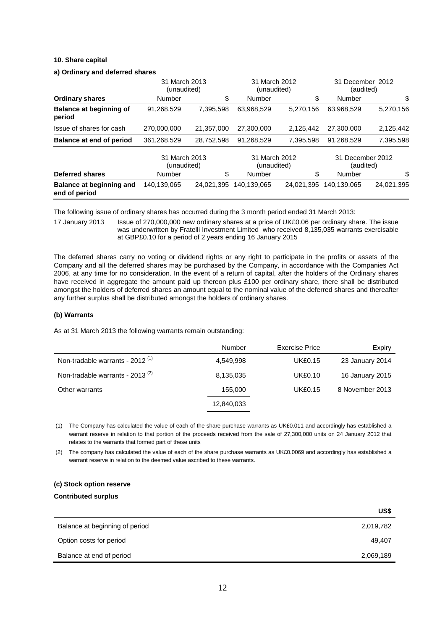### **10. Share capital**

#### **a) Ordinary and deferred shares**

|                                           | 31 March 2013<br>(unaudited) |            | 31 March 2012<br>(unaudited) |            | 31 December 2012<br>(audited) |            |
|-------------------------------------------|------------------------------|------------|------------------------------|------------|-------------------------------|------------|
| <b>Ordinary shares</b>                    | Number                       | \$         | <b>Number</b>                | \$         | Number                        | \$         |
| Balance at beginning of<br>period         | 91,268,529                   | 7,395,598  | 63,968,529                   | 5,270,156  | 63,968,529                    | 5,270,156  |
| Issue of shares for cash                  | 270,000,000                  | 21,357,000 | 27.300.000                   | 2,125,442  | 27,300,000                    | 2,125,442  |
| Balance at end of period                  | 361,268,529                  | 28,752,598 | 91,268,529                   | 7,395,598  | 91,268,529                    | 7,395,598  |
|                                           | 31 March 2013<br>(unaudited) |            | 31 March 2012<br>(unaudited) |            | 31 December 2012<br>(audited) |            |
| <b>Deferred shares</b>                    | Number                       | \$         | Number                       | \$         | Number                        | \$         |
| Balance at beginning and<br>end of period | 140.139.065                  | 24.021.395 | 140.139.065                  | 24.021.395 | 140,139,065                   | 24.021.395 |

The following issue of ordinary shares has occurred during the 3 month period ended 31 March 2013:

17 January 2013 Issue of 270,000,000 new ordinary shares at a price of UK£0.06 per ordinary share. The issue was underwritten by Fratelli Investment Limited who received 8,135,035 warrants exercisable at GBP£0.10 for a period of 2 years ending 16 January 2015

The deferred shares carry no voting or dividend rights or any right to participate in the profits or assets of the Company and all the deferred shares may be purchased by the Company, in accordance with the Companies Act 2006, at any time for no consideration. In the event of a return of capital, after the holders of the Ordinary shares have received in aggregate the amount paid up thereon plus £100 per ordinary share, there shall be distributed amongst the holders of deferred shares an amount equal to the nominal value of the deferred shares and thereafter any further surplus shall be distributed amongst the holders of ordinary shares.

# **(b) Warrants**

As at 31 March 2013 the following warrants remain outstanding:

|                                             | Number     | Exercise Price | Expiry          |
|---------------------------------------------|------------|----------------|-----------------|
| Non-tradable warrants - 2012 <sup>(1)</sup> | 4.549.998  | <b>UK£0.15</b> | 23 January 2014 |
| Non-tradable warrants - 2013 <sup>(2)</sup> | 8,135,035  | <b>UK£0.10</b> | 16 January 2015 |
| Other warrants                              | 155,000    | <b>UK£0.15</b> | 8 November 2013 |
|                                             | 12,840,033 |                |                 |

(1) The Company has calculated the value of each of the share purchase warrants as UK£0.011 and accordingly has established a warrant reserve in relation to that portion of the proceeds received from the sale of 27,300,000 units on 24 January 2012 that relates to the warrants that formed part of these units

(2) The company has calculated the value of each of the share purchase warrants as UK£0.0069 and accordingly has established a warrant reserve in relation to the deemed value ascribed to these warrants.

# **(c) Stock option reserve Contributed surplus**

|                                | US\$      |
|--------------------------------|-----------|
| Balance at beginning of period | 2,019,782 |
| Option costs for period        | 49,407    |
| Balance at end of period       | 2,069,189 |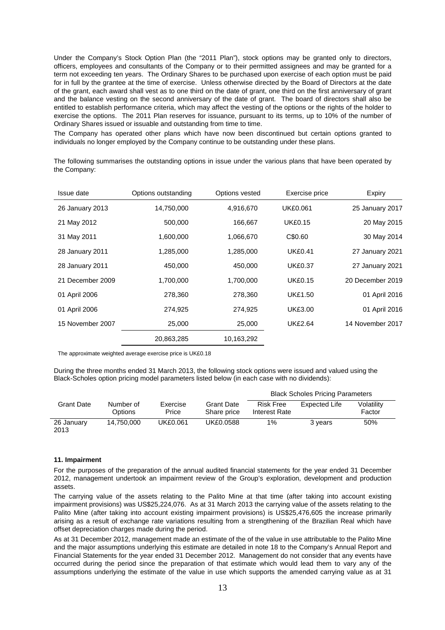Under the Company's Stock Option Plan (the "2011 Plan"), stock options may be granted only to directors, officers, employees and consultants of the Company or to their permitted assignees and may be granted for a term not exceeding ten years. The Ordinary Shares to be purchased upon exercise of each option must be paid for in full by the grantee at the time of exercise. Unless otherwise directed by the Board of Directors at the date of the grant, each award shall vest as to one third on the date of grant, one third on the first anniversary of grant and the balance vesting on the second anniversary of the date of grant. The board of directors shall also be entitled to establish performance criteria, which may affect the vesting of the options or the rights of the holder to exercise the options. The 2011 Plan reserves for issuance, pursuant to its terms, up to 10% of the number of Ordinary Shares issued or issuable and outstanding from time to time.

The Company has operated other plans which have now been discontinued but certain options granted to individuals no longer employed by the Company continue to be outstanding under these plans.

The following summarises the outstanding options in issue under the various plans that have been operated by the Company:

| Issue date       | Options outstanding | Options vested | Exercise price  | Expiry           |
|------------------|---------------------|----------------|-----------------|------------------|
| 26 January 2013  | 14,750,000          | 4,916,670      | <b>UK£0.061</b> | 25 January 2017  |
| 21 May 2012      | 500,000             | 166,667        | <b>UK£0.15</b>  | 20 May 2015      |
| 31 May 2011      | 1,600,000           | 1,066,670      | C\$0.60         | 30 May 2014      |
| 28 January 2011  | 1,285,000           | 1,285,000      | <b>UK£0.41</b>  | 27 January 2021  |
| 28 January 2011  | 450,000             | 450,000        | <b>UK£0.37</b>  | 27 January 2021  |
| 21 December 2009 | 1,700,000           | 1,700,000      | <b>UK£0.15</b>  | 20 December 2019 |
| 01 April 2006    | 278,360             | 278,360        | <b>UK£1.50</b>  | 01 April 2016    |
| 01 April 2006    | 274,925             | 274,925        | <b>UK£3.00</b>  | 01 April 2016    |
| 15 November 2007 | 25,000              | 25,000         | <b>UK£2.64</b>  | 14 November 2017 |
|                  | 20,863,285          | 10,163,292     |                 |                  |

The approximate weighted average exercise price is UK£0.18

During the three months ended 31 March 2013, the following stock options were issued and valued using the Black-Scholes option pricing model parameters listed below (in each case with no dividends):

|                    |                      |                   |                                  | <b>Black Scholes Pricing Parameters</b> |               |                      |
|--------------------|----------------------|-------------------|----------------------------------|-----------------------------------------|---------------|----------------------|
| <b>Grant Date</b>  | Number of<br>Options | Exercise<br>Price | <b>Grant Date</b><br>Share price | <b>Risk Free</b><br>Interest Rate       | Expected Life | Volatility<br>Factor |
| 26 January<br>2013 | 14.750.000           | UK£0.061          | UK£0.0588                        | $1\%$                                   | 3 years       | 50%                  |

### **11. Impairment**

For the purposes of the preparation of the annual audited financial statements for the year ended 31 December 2012, management undertook an impairment review of the Group's exploration, development and production assets.

The carrying value of the assets relating to the Palito Mine at that time (after taking into account existing impairment provisions) was US\$25,224,076. As at 31 March 2013 the carrying value of the assets relating to the Palito Mine (after taking into account existing impairment provisions) is US\$25,476,605 the increase primarily arising as a result of exchange rate variations resulting from a strengthening of the Brazilian Real which have offset depreciation charges made during the period.

As at 31 December 2012, management made an estimate of the of the value in use attributable to the Palito Mine and the major assumptions underlying this estimate are detailed in note 18 to the Company's Annual Report and Financial Statements for the year ended 31 December 2012. Management do not consider that any events have occurred during the period since the preparation of that estimate which would lead them to vary any of the assumptions underlying the estimate of the value in use which supports the amended carrying value as at 31